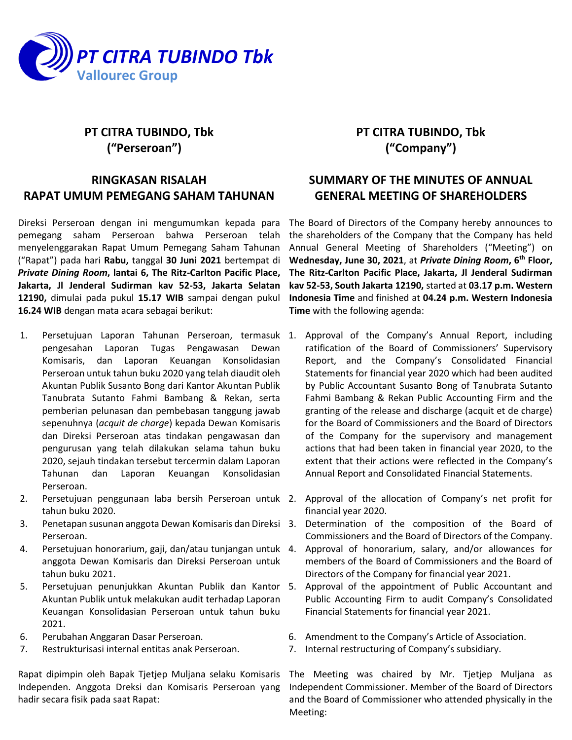

# **PT CITRA TUBINDO, Tbk ("Perseroan")**

## **RINGKASAN RISALAH RAPAT UMUM PEMEGANG SAHAM TAHUNAN**

Direksi Perseroan dengan ini mengumumkan kepada para pemegang saham Perseroan bahwa Perseroan telah menyelenggarakan Rapat Umum Pemegang Saham Tahunan ("Rapat") pada hari **Rabu,** tanggal **30 Juni 2021** bertempat di *Private Dining Room***, lantai 6, The Ritz-Carlton Pacific Place, Jakarta, Jl Jenderal Sudirman kav 52-53, Jakarta Selatan 12190,** dimulai pada pukul **15.17 WIB** sampai dengan pukul **16.24 WIB** dengan mata acara sebagai berikut:

- 1. Persetujuan Laporan Tahunan Perseroan, termasuk 1. Approval of the Company's Annual Report, including pengesahan Laporan Tugas Pengawasan Dewan Komisaris, dan Laporan Keuangan Konsolidasian Perseroan untuk tahun buku 2020 yang telah diaudit oleh Akuntan Publik Susanto Bong dari Kantor Akuntan Publik Tanubrata Sutanto Fahmi Bambang & Rekan, serta pemberian pelunasan dan pembebasan tanggung jawab sepenuhnya (*acquit de charge*) kepada Dewan Komisaris dan Direksi Perseroan atas tindakan pengawasan dan pengurusan yang telah dilakukan selama tahun buku 2020, sejauh tindakan tersebut tercermin dalam Laporan Tahunan dan Laporan Keuangan Konsolidasian Perseroan.
- 2. Persetujuan penggunaan laba bersih Perseroan untuk 2. Approval of the allocation of Company's net profit for tahun buku 2020.
- 3. Penetapan susunan anggota Dewan Komisaris dan Direksi Perseroan.
- 4. Persetujuan honorarium, gaji, dan/atau tunjangan untuk anggota Dewan Komisaris dan Direksi Perseroan untuk tahun buku 2021.
- 5. Persetujuan penunjukkan Akuntan Publik dan Kantor Akuntan Publik untuk melakukan audit terhadap Laporan Keuangan Konsolidasian Perseroan untuk tahun buku 2021.
- 6. Perubahan Anggaran Dasar Perseroan.
- 7. Restrukturisasi internal entitas anak Perseroan.

Rapat dipimpin oleh Bapak Tjetjep Muljana selaku Komisaris Independen. Anggota Dreksi dan Komisaris Perseroan yang hadir secara fisik pada saat Rapat:

## **PT CITRA TUBINDO, Tbk ("Company")**

## **SUMMARY OF THE MINUTES OF ANNUAL GENERAL MEETING OF SHAREHOLDERS**

The Board of Directors of the Company hereby announces to the shareholders of the Company that the Company has held Annual General Meeting of Shareholders ("Meeting") on **Wednesday, June 30, 2021**, at *Private Dining Room***, 6 th Floor, The Ritz-Carlton Pacific Place, Jakarta, Jl Jenderal Sudirman kav 52-53, South Jakarta 12190,** started at **03.17 p.m. Western Indonesia Time** and finished at **04.24 p.m. Western Indonesia Time** with the following agenda:

- ratification of the Board of Commissioners' Supervisory Report, and the Company's Consolidated Financial Statements for financial year 2020 which had been audited by Public Accountant Susanto Bong of Tanubrata Sutanto Fahmi Bambang & Rekan Public Accounting Firm and the granting of the release and discharge (acquit et de charge) for the Board of Commissioners and the Board of Directors of the Company for the supervisory and management actions that had been taken in financial year 2020, to the extent that their actions were reflected in the Company's Annual Report and Consolidated Financial Statements.
- financial year 2020.
- Determination of the composition of the Board of Commissioners and the Board of Directors of the Company.
- Approval of honorarium, salary, and/or allowances for members of the Board of Commissioners and the Board of Directors of the Company for financial year 2021.
- Approval of the appointment of Public Accountant and Public Accounting Firm to audit Company's Consolidated Financial Statements for financial year 2021.
- 6. Amendment to the Company's Article of Association.
- 7. Internal restructuring of Company's subsidiary.

The Meeting was chaired by Mr. Tjetjep Muljana as Independent Commissioner. Member of the Board of Directors and the Board of Commissioner who attended physically in the Meeting: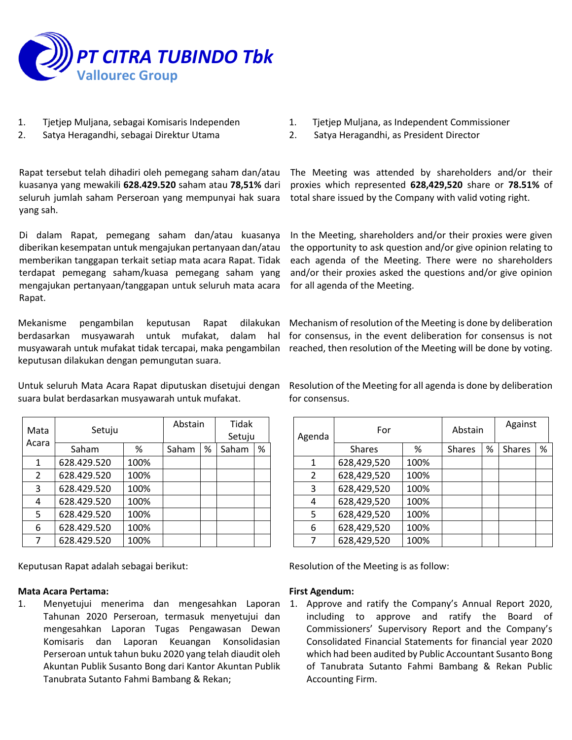

- 1. Tjetjep Muljana, sebagai Komisaris Independen
- 2. Satya Heragandhi, sebagai Direktur Utama

Rapat tersebut telah dihadiri oleh pemegang saham dan/atau kuasanya yang mewakili **628.429.520** saham atau **78,51%** dari seluruh jumlah saham Perseroan yang mempunyai hak suara yang sah.

Di dalam Rapat, pemegang saham dan/atau kuasanya diberikan kesempatan untuk mengajukan pertanyaan dan/atau memberikan tanggapan terkait setiap mata acara Rapat. Tidak terdapat pemegang saham/kuasa pemegang saham yang mengajukan pertanyaan/tanggapan untuk seluruh mata acara Rapat.

Mekanisme pengambilan keputusan Rapat dilakukan berdasarkan musyawarah untuk mufakat, dalam hal musyawarah untuk mufakat tidak tercapai, maka pengambilan reached, then resolution of the Meeting will be done by voting. keputusan dilakukan dengan pemungutan suara.

Untuk seluruh Mata Acara Rapat diputuskan disetujui dengan suara bulat berdasarkan musyawarah untuk mufakat.

| Mata          | Setuju      |      | Abstain |   | <b>Tidak</b> |   |
|---------------|-------------|------|---------|---|--------------|---|
| Acara         |             |      |         |   | Setuju       |   |
|               | Saham       | %    | Saham   | % | Saham        | % |
| $\mathbf{1}$  | 628.429.520 | 100% |         |   |              |   |
| $\mathcal{L}$ | 628.429.520 | 100% |         |   |              |   |
| 3             | 628.429.520 | 100% |         |   |              |   |
| 4             | 628.429.520 | 100% |         |   |              |   |
| 5             | 628.429.520 | 100% |         |   |              |   |
| 6             | 628.429.520 | 100% |         |   |              |   |
| ⇁             | 628.429.520 | 100% |         |   |              |   |

Keputusan Rapat adalah sebagai berikut:

#### **Mata Acara Pertama:**

1. Menyetujui menerima dan mengesahkan Laporan Tahunan 2020 Perseroan, termasuk menyetujui dan mengesahkan Laporan Tugas Pengawasan Dewan Komisaris dan Laporan Keuangan Konsolidasian Perseroan untuk tahun buku 2020 yang telah diaudit oleh Akuntan Publik Susanto Bong dari Kantor Akuntan Publik Tanubrata Sutanto Fahmi Bambang & Rekan;

- 1. Tjetjep Muljana, as Independent Commissioner
- 2. Satya Heragandhi, as President Director

The Meeting was attended by shareholders and/or their proxies which represented **628,429,520** share or **78.51%** of total share issued by the Company with valid voting right.

In the Meeting, shareholders and/or their proxies were given the opportunity to ask question and/or give opinion relating to each agenda of the Meeting. There were no shareholders and/or their proxies asked the questions and/or give opinion for all agenda of the Meeting.

Mechanism of resolution of the Meeting is done by deliberation for consensus, in the event deliberation for consensus is not

Resolution of the Meeting for all agenda is done by deliberation for consensus.

| Agenda | For           |      | Abstain       |      | Against       |   |
|--------|---------------|------|---------------|------|---------------|---|
|        | <b>Shares</b> | ℅    | <b>Shares</b> | $\%$ | <b>Shares</b> | % |
| 1      | 628,429,520   | 100% |               |      |               |   |
| 2      | 628,429,520   | 100% |               |      |               |   |
| 3      | 628,429,520   | 100% |               |      |               |   |
| 4      | 628,429,520   | 100% |               |      |               |   |
| 5      | 628,429,520   | 100% |               |      |               |   |
| 6      | 628,429,520   | 100% |               |      |               |   |
| 7      | 628,429,520   | 100% |               |      |               |   |

Resolution of the Meeting is as follow:

## **First Agendum:**

1. Approve and ratify the Company's Annual Report 2020, including to approve and ratify the Board of Commissioners' Supervisory Report and the Company's Consolidated Financial Statements for financial year 2020 which had been audited by Public Accountant Susanto Bong of Tanubrata Sutanto Fahmi Bambang & Rekan Public Accounting Firm.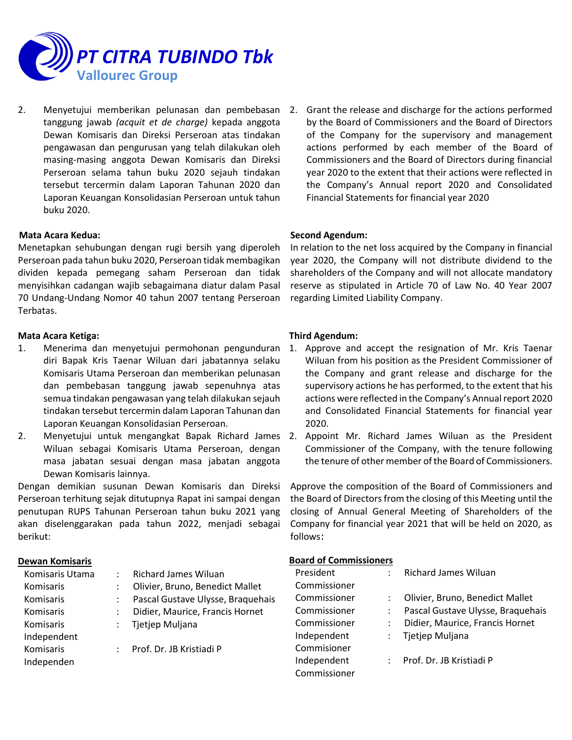

2. Menyetujui memberikan pelunasan dan pembebasan tanggung jawab *(acquit et de charge)* kepada anggota Dewan Komisaris dan Direksi Perseroan atas tindakan pengawasan dan pengurusan yang telah dilakukan oleh masing-masing anggota Dewan Komisaris dan Direksi Perseroan selama tahun buku 2020 sejauh tindakan tersebut tercermin dalam Laporan Tahunan 2020 dan Laporan Keuangan Konsolidasian Perseroan untuk tahun buku 2020.

## **Mata Acara Kedua:**

Menetapkan sehubungan dengan rugi bersih yang diperoleh Perseroan pada tahun buku 2020, Perseroan tidak membagikan dividen kepada pemegang saham Perseroan dan tidak menyisihkan cadangan wajib sebagaimana diatur dalam Pasal 70 Undang-Undang Nomor 40 tahun 2007 tentang Perseroan Terbatas.

## **Mata Acara Ketiga:**

- 1. Menerima dan menyetujui permohonan pengunduran diri Bapak Kris Taenar Wiluan dari jabatannya selaku Komisaris Utama Perseroan dan memberikan pelunasan dan pembebasan tanggung jawab sepenuhnya atas semua tindakan pengawasan yang telah dilakukan sejauh tindakan tersebut tercermin dalam Laporan Tahunan dan Laporan Keuangan Konsolidasian Perseroan.
- Wiluan sebagai Komisaris Utama Perseroan, dengan masa jabatan sesuai dengan masa jabatan anggota Dewan Komisaris lainnya.

Dengan demikian susunan Dewan Komisaris dan Direksi Perseroan terhitung sejak ditutupnya Rapat ini sampai dengan penutupan RUPS Tahunan Perseroan tahun buku 2021 yang akan diselenggarakan pada tahun 2022, menjadi sebagai berikut:

#### **Dewan Komisaris**

| Komisaris Utama  |                           | <b>Richard James Wiluan</b>       |
|------------------|---------------------------|-----------------------------------|
| Komisaris        |                           | Olivier, Bruno, Benedict Mallet   |
| <b>Komisaris</b> | $\mathbb{R}^{\mathbb{Z}}$ | Pascal Gustave Ulysse, Braquehais |
| Komisaris        |                           | Didier, Maurice, Francis Hornet   |
| <b>Komisaris</b> | $\mathcal{L}$             | Tjetjep Muljana                   |
| Independent      |                           |                                   |
| Komisaris        |                           | : Prof. Dr. JB Kristiadi P        |
| Independen       |                           |                                   |

Grant the release and discharge for the actions performed by the Board of Commissioners and the Board of Directors of the Company for the supervisory and management actions performed by each member of the Board of Commissioners and the Board of Directors during financial year 2020 to the extent that their actions were reflected in the Company's Annual report 2020 and Consolidated Financial Statements for financial year 2020

## **Second Agendum:**

In relation to the net loss acquired by the Company in financial year 2020, the Company will not distribute dividend to the shareholders of the Company and will not allocate mandatory reserve as stipulated in Article 70 of Law No. 40 Year 2007 regarding Limited Liability Company.

## **Third Agendum:**

- 1. Approve and accept the resignation of Mr. Kris Taenar Wiluan from his position as the President Commissioner of the Company and grant release and discharge for the supervisory actions he has performed, to the extent that his actions were reflected in the Company's Annual report 2020 and Consolidated Financial Statements for financial year 2020.
- 2. Menyetujui untuk mengangkat Bapak Richard James 2. Appoint Mr. Richard James Wiluan as the President Commissioner of the Company, with the tenure following the tenure of other member of the Board of Commissioners.

Approve the composition of the Board of Commissioners and the Board of Directors from the closing of this Meeting until the closing of Annual General Meeting of Shareholders of the Company for financial year 2021 that will be held on 2020, as follows:

#### **Board of Commissioners**

| President    | <b>Richard James Wiluan</b>       |
|--------------|-----------------------------------|
| Commissioner |                                   |
| Commissioner | Olivier, Bruno, Benedict Mallet   |
| Commissioner | Pascal Gustave Ulysse, Braquehais |
| Commissioner | Didier, Maurice, Francis Hornet   |
| Independent  | Tjetjep Muljana                   |
| Commisioner  |                                   |
| Independent  | Prof. Dr. JB Kristiadi P          |
| Commissioner |                                   |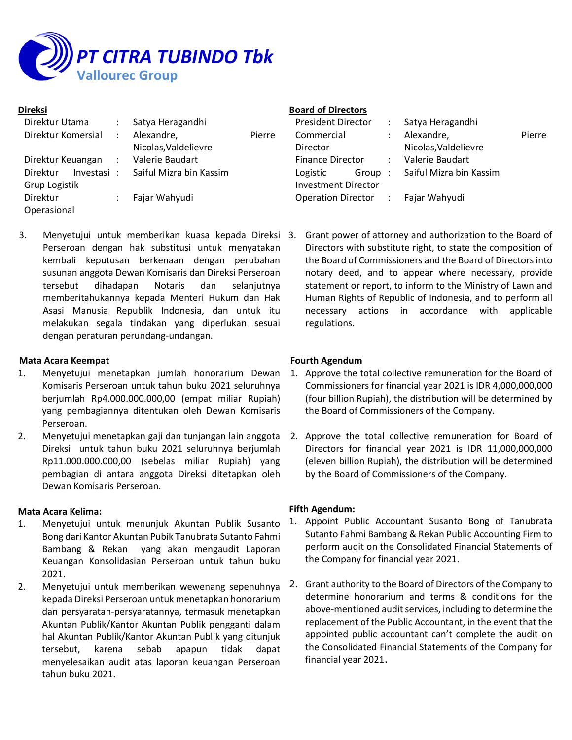

#### **Direksi**

| Direktur Utama                      | $\mathbb{Z}^{\mathbb{Z}}$ | Satya Heragandhi                   |        |
|-------------------------------------|---------------------------|------------------------------------|--------|
| Direktur Komersial                  | $\sim 10^{-1}$            | Alexandre,                         | Pierre |
|                                     |                           | Nicolas, Valdelievre               |        |
| Direktur Keuangan : Valerie Baudart |                           |                                    |        |
| Direktur                            |                           | Investasi: Saiful Mizra bin Kassim |        |
| Grup Logistik                       |                           |                                    |        |
| Direktur                            | $\mathcal{L}$             | Fajar Wahyudi                      |        |
| Operasional                         |                           |                                    |        |

Perseroan dengan hak substitusi untuk menyatakan kembali keputusan berkenaan dengan perubahan susunan anggota Dewan Komisaris dan Direksi Perseroan tersebut dihadapan Notaris dan selanjutnya memberitahukannya kepada Menteri Hukum dan Hak Asasi Manusia Republik Indonesia, dan untuk itu melakukan segala tindakan yang diperlukan sesuai dengan peraturan perundang-undangan.

#### **Mata Acara Keempat**

- 1. Menyetujui menetapkan jumlah honorarium Dewan Komisaris Perseroan untuk tahun buku 2021 seluruhnya berjumlah Rp4.000.000.000,00 (empat miliar Rupiah) yang pembagiannya ditentukan oleh Dewan Komisaris Perseroan.
- 2. Menyetujui menetapkan gaji dan tunjangan lain anggota Direksi untuk tahun buku 2021 seluruhnya berjumlah Rp11.000.000.000,00 (sebelas miliar Rupiah) yang pembagian di antara anggota Direksi ditetapkan oleh Dewan Komisaris Perseroan.

## **Mata Acara Kelima:**

- 1. Menyetujui untuk menunjuk Akuntan Publik Susanto Bong dari Kantor Akuntan Pubik Tanubrata Sutanto Fahmi Bambang & Rekan yang akan mengaudit Laporan Keuangan Konsolidasian Perseroan untuk tahun buku 2021.
- 2. Menyetujui untuk memberikan wewenang sepenuhnya kepada Direksi Perseroan untuk menetapkan honorarium dan persyaratan-persyaratannya, termasuk menetapkan Akuntan Publik/Kantor Akuntan Publik pengganti dalam hal Akuntan Publik/Kantor Akuntan Publik yang ditunjuk tersebut, karena sebab apapun tidak dapat menyelesaikan audit atas laporan keuangan Perseroan tahun buku 2021.

## **Board of Directors**

| President Director                 | : Satya Heragandhi             |        |
|------------------------------------|--------------------------------|--------|
| Commercial                         | Alexandre,                     | Pierre |
| Director                           | Nicolas, Valdelievre           |        |
| Finance Director : Valerie Baudart |                                |        |
| Logistic                           | Group: Saiful Mizra bin Kassim |        |
| <b>Investment Director</b>         |                                |        |
| Operation Director : Fajar Wahyudi |                                |        |
|                                    |                                |        |

3. Menyetujui untuk memberikan kuasa kepada Direksi 3. Grant power of attorney and authorization to the Board of Directors with substitute right, to state the composition of the Board of Commissioners and the Board of Directors into notary deed, and to appear where necessary, provide statement or report, to inform to the Ministry of Lawn and Human Rights of Republic of Indonesia, and to perform all necessary actions in accordance with applicable regulations.

## **Fourth Agendum**

- 1. Approve the total collective remuneration for the Board of Commissioners for financial year 2021 is IDR 4,000,000,000 (four billion Rupiah), the distribution will be determined by the Board of Commissioners of the Company.
- 2. Approve the total collective remuneration for Board of Directors for financial year 2021 is IDR 11,000,000,000 (eleven billion Rupiah), the distribution will be determined by the Board of Commissioners of the Company.

## **Fifth Agendum:**

- 1. Appoint Public Accountant Susanto Bong of Tanubrata Sutanto Fahmi Bambang & Rekan Public Accounting Firm to perform audit on the Consolidated Financial Statements of the Company for financial year 2021.
- 2. Grant authority to the Board of Directors of the Company to determine honorarium and terms & conditions for the above-mentioned audit services, including to determine the replacement of the Public Accountant, in the event that the appointed public accountant can't complete the audit on the Consolidated Financial Statements of the Company for financial year 2021.